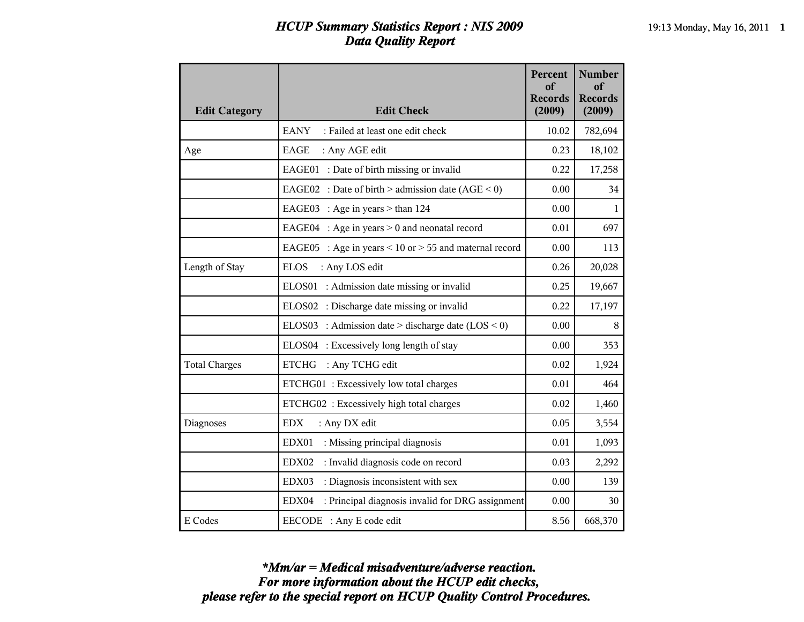## *HCUP Summary Statistics Report : NIS 2009* 19:13 Monday, May 16, 2011 **1** *Data Quality Report*

| <b>Edit Category</b> | <b>Edit Check</b>                                             | <b>Percent</b><br>of<br><b>Records</b><br>(2009) | <b>Number</b><br>of<br><b>Records</b><br>(2009) |
|----------------------|---------------------------------------------------------------|--------------------------------------------------|-------------------------------------------------|
|                      | <b>EANY</b><br>: Failed at least one edit check               | 10.02                                            | 782,694                                         |
| Age                  | <b>EAGE</b><br>: Any AGE edit                                 | 0.23                                             | 18,102                                          |
|                      | EAGE01 : Date of birth missing or invalid                     | 0.22                                             | 17,258                                          |
|                      | EAGE02 : Date of birth > admission date $(AGE < 0)$           | 0.00                                             | 34                                              |
|                      | EAGE03 : Age in years $>$ than 124                            | 0.00                                             | $\mathbf 1$                                     |
|                      | EAGE04 : Age in years $> 0$ and neonatal record               | 0.01                                             | 697                                             |
|                      | EAGE05 : Age in years $\leq$ 10 or $>$ 55 and maternal record | 0.00                                             | 113                                             |
| Length of Stay       | <b>ELOS</b><br>: Any LOS edit                                 | 0.26                                             | 20,028                                          |
|                      | ELOS01 : Admission date missing or invalid                    | 0.25                                             | 19,667                                          |
|                      | ELOS02 : Discharge date missing or invalid                    | 0.22                                             | 17,197                                          |
|                      | ELOS03 : Admission date > discharge date $(LOS < 0)$          | 0.00                                             | 8                                               |
|                      | ELOS04 : Excessively long length of stay                      | 0.00                                             | 353                                             |
| <b>Total Charges</b> | <b>ETCHG</b><br>: Any TCHG edit                               | 0.02                                             | 1,924                                           |
|                      | ETCHG01: Excessively low total charges                        | 0.01                                             | 464                                             |
|                      | ETCHG02: Excessively high total charges                       | 0.02                                             | 1,460                                           |
| Diagnoses            | <b>EDX</b><br>: Any DX edit                                   | 0.05                                             | 3,554                                           |
|                      | EDX01<br>: Missing principal diagnosis                        | 0.01                                             | 1,093                                           |
|                      | EDX02<br>: Invalid diagnosis code on record                   | 0.03                                             | 2,292                                           |
|                      | : Diagnosis inconsistent with sex<br>EDX03                    | 0.00                                             | 139                                             |
|                      | EDX04<br>: Principal diagnosis invalid for DRG assignment     | 0.00                                             | 30                                              |
| E Codes              | EECODE : Any E code edit                                      | 8.56                                             | 668,370                                         |

*please refer to the special report on HCUP Quality Control Procedures. For more information about the HCUP edit checks, \*Mm/ar = Medical misadventure/adverse reaction.*